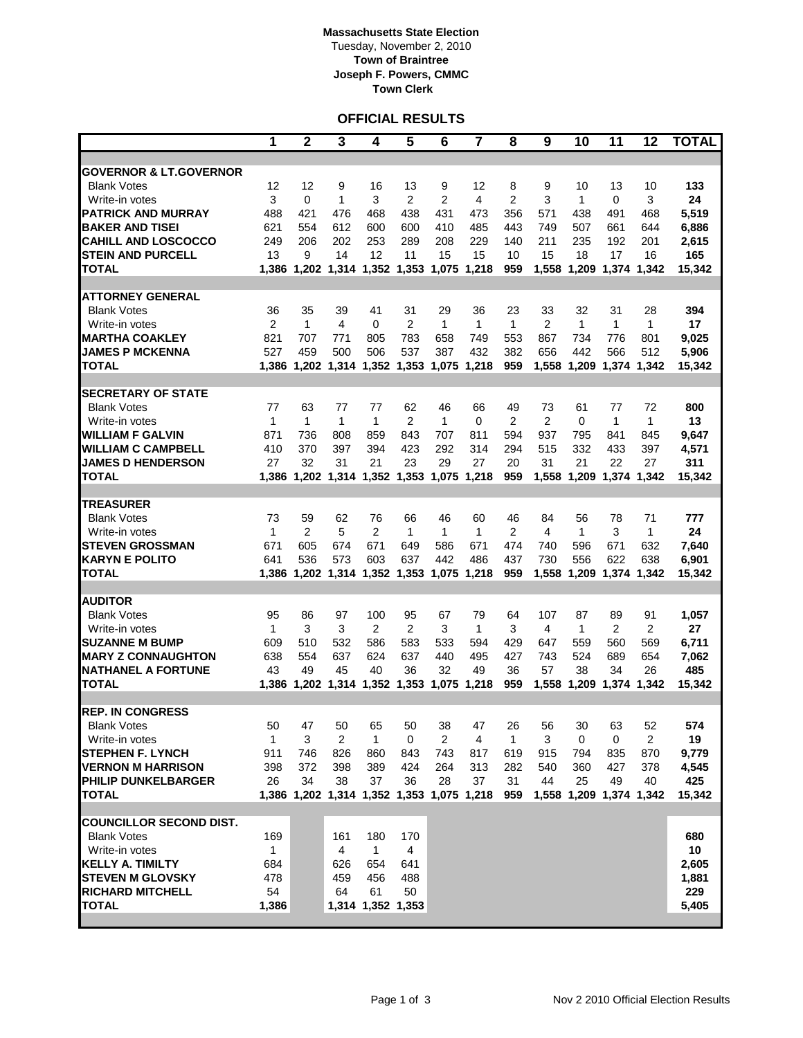### **Massachusetts State Election** Tuesday, November 2, 2010 **Town of Braintree Joseph F. Powers, CMMC Town Clerk**

## **OFFICIAL RESULTS**

|                                               | 1              | $\overline{2}$                            | $\overline{\mathbf{3}}$ | 4                 | $\overline{\mathbf{5}}$             | 6            | $\overline{\mathbf{7}}$ | 8                     | 9              | 10           | 11                      | 12           | <b>TOTAL</b> |
|-----------------------------------------------|----------------|-------------------------------------------|-------------------------|-------------------|-------------------------------------|--------------|-------------------------|-----------------------|----------------|--------------|-------------------------|--------------|--------------|
|                                               |                |                                           |                         |                   |                                     |              |                         |                       |                |              |                         |              |              |
| <b>GOVERNOR &amp; LT.GOVERNOR</b>             |                |                                           |                         |                   |                                     |              |                         |                       |                |              |                         |              |              |
| <b>Blank Votes</b>                            | 12<br>3        | 12                                        | 9                       | 16                | 13                                  | 9            | 12                      | 8                     | 9              | 10           | 13                      | 10           | 133          |
| Write-in votes<br><b>PATRICK AND MURRAY</b>   | 488            | 0<br>421                                  | 1<br>476                | 3<br>468          | 2<br>438                            | 2<br>431     | 4<br>473                | $\overline{2}$<br>356 | 3<br>571       | 1<br>438     | 0<br>491                | 3<br>468     | 24<br>5,519  |
| <b>BAKER AND TISEI</b>                        | 621            | 554                                       | 612                     | 600               | 600                                 | 410          | 485                     | 443                   | 749            | 507          | 661                     | 644          | 6,886        |
| <b>CAHILL AND LOSCOCCO</b>                    | 249            | 206                                       | 202                     | 253               | 289                                 | 208          | 229                     | 140                   | 211            | 235          | 192                     | 201          | 2,615        |
| <b>STEIN AND PURCELL</b>                      | 13             | 9                                         | 14                      | 12                | 11                                  | 15           | 15                      | 10                    | 15             | 18           | 17                      | 16           | 165          |
| <b>TOTAL</b>                                  | 1,386          |                                           | 1,202 1,314 1,352       |                   | 1,353                               | 1,075        | 1,218                   | 959                   | 1,558          | 1,209        | 1,374                   | 1,342        | 15,342       |
|                                               |                |                                           |                         |                   |                                     |              |                         |                       |                |              |                         |              |              |
| ATTORNEY GENERAL                              |                |                                           |                         |                   |                                     |              |                         |                       |                |              |                         |              |              |
| <b>Blank Votes</b>                            | 36             | 35                                        | 39                      | 41                | 31                                  | 29           | 36                      | 23                    | 33             | 32           | 31                      | 28           | 394          |
| Write-in votes                                | $\overline{2}$ | $\mathbf{1}$                              | 4                       | 0                 | $\overline{2}$                      | $\mathbf{1}$ | $\mathbf{1}$            | 1                     | $\overline{2}$ | 1            | 1                       | $\mathbf{1}$ | 17           |
| <b>MARTHA COAKLEY</b>                         | 821            | 707                                       | 771                     | 805               | 783                                 | 658          | 749                     | 553                   | 867            | 734          | 776                     | 801          | 9,025        |
| <b>JAMES P MCKENNA</b>                        | 527            | 459                                       | 500                     | 506               | 537                                 | 387          | 432                     | 382                   | 656            | 442          | 566                     | 512          | 5,906        |
| TOTAL                                         | 1,386          |                                           | 1,202 1,314             | 1,352             | 1,353                               | 1,075        | 1,218                   | 959                   | 1,558          | 1,209        | 1,374                   | 1,342        | 15,342       |
| <b>SECRETARY OF STATE</b>                     |                |                                           |                         |                   |                                     |              |                         |                       |                |              |                         |              |              |
| <b>Blank Votes</b>                            | 77             | 63                                        | 77                      | 77                | 62                                  | 46           | 66                      | 49                    | 73             | 61           | 77                      | 72           | 800          |
| Write-in votes                                | 1              | 1                                         | 1                       | $\mathbf{1}$      | $\overline{2}$                      | 1            | 0                       | 2                     | $\overline{2}$ | 0            | 1                       | 1            | 13           |
| <b>WILLIAM F GALVIN</b>                       | 871            | 736                                       | 808                     | 859               | 843                                 | 707          | 811                     | 594                   | 937            | 795          | 841                     | 845          | 9,647        |
| <b>WILLIAM C CAMPBELL</b>                     | 410            | 370                                       | 397                     | 394               | 423                                 | 292          | 314                     | 294                   | 515            | 332          | 433                     | 397          | 4,571        |
| <b>JAMES D HENDERSON</b>                      | 27             | 32                                        | 31                      | 21                | 23                                  | 29           | 27                      | 20                    | 31             | 21           | 22                      | 27           | 311          |
| TOTAL                                         | 1,386          |                                           |                         |                   | 1,202 1,314 1,352 1,353 1,075 1,218 |              |                         | 959                   | 1,558          | 1,209        | 1,374 1,342             |              | 15,342       |
|                                               |                |                                           |                         |                   |                                     |              |                         |                       |                |              |                         |              |              |
| <b>TREASURER</b>                              |                |                                           |                         |                   |                                     |              |                         |                       |                |              |                         |              |              |
| <b>Blank Votes</b>                            | 73             | 59                                        | 62                      | 76                | 66                                  | 46           | 60                      | 46                    | 84             | 56           | 78                      | 71           | 777          |
| Write-in votes                                | 1              | $\overline{2}$                            | 5                       | 2                 | 1                                   | 1            | 1                       | $\overline{2}$        | 4              | 1            | 3                       | 1            | 24           |
| <b>STEVEN GROSSMAN</b>                        | 671            | 605                                       | 674                     | 671               | 649                                 | 586          | 671                     | 474                   | 740            | 596          | 671                     | 632          | 7,640        |
| <b>KARYN E POLITO</b>                         | 641            | 536                                       | 573                     | 603               | 637                                 | 442          | 486                     | 437                   | 730            | 556          | 622                     | 638          | 6,901        |
| <b>TOTAL</b>                                  | 1,386          | 1,202 1,314                               |                         | 1,352             | 1,353                               | 1,075        | 1,218                   | 959                   | 1,558          | 1,209        | 1,374 1,342             |              | 15,342       |
| <b>AUDITOR</b>                                |                |                                           |                         |                   |                                     |              |                         |                       |                |              |                         |              |              |
| <b>Blank Votes</b>                            | 95             | 86                                        | 97                      | 100               | 95                                  | 67           | 79                      | 64                    | 107            | 87           | 89                      | 91           | 1,057        |
| Write-in votes                                | 1              | 3                                         | 3                       | $\overline{2}$    | $\overline{2}$                      | 3            | $\mathbf{1}$            | 3                     | 4              | $\mathbf{1}$ | $\overline{2}$          | 2            | 27           |
| <b>SUZANNE M BUMP</b>                         | 609            | 510                                       | 532                     | 586               | 583                                 | 533          | 594                     | 429                   | 647            | 559          | 560                     | 569          | 6,711        |
| <b>MARY Z CONNAUGHTON</b>                     | 638            | 554                                       | 637                     | 624               | 637                                 | 440          | 495                     | 427                   | 743            | 524          | 689                     | 654          | 7,062        |
| <b>NATHANEL A FORTUNE</b>                     | 43             | 49                                        | 45                      | 40                | 36                                  | 32           | 49                      | 36                    | 57             | 38           | 34                      | 26           | 485          |
| <b>TOTAL</b>                                  | 1,386          | 1,202 1,314                               |                         | 1,352             | 1,353                               | 1,075        | 1,218                   | 959                   | 1,558          | 1,209        | 1,374 1,342             |              | 15,342       |
|                                               |                |                                           |                         |                   |                                     |              |                         |                       |                |              |                         |              |              |
| <b>REP. IN CONGRESS</b><br><b>Blank Votes</b> | 50             | 47                                        | 50                      | 65                | 50                                  | 38           | 47                      | 26                    | 56             | 30           | 63                      | 52           | 574          |
| Write-in votes                                | $\mathbf{1}$   | 3                                         | 2                       | $\mathbf{1}$      | 0                                   | 2            | 4                       | $\mathbf{1}$          | 3              | 0            | 0                       | 2            | 19           |
| <b>STEPHEN F. LYNCH</b>                       | 911            | 746                                       | 826                     | 860               | 843                                 | 743          | 817                     | 619                   | 915            | 794          | 835                     | 870          | 9,779        |
| <b>VERNON M HARRISON</b>                      | 398            | 372                                       | 398                     | 389               | 424                                 | 264          | 313                     | 282                   | 540            | 360          | 427                     | 378          | 4,545        |
| PHILIP DUNKELBARGER                           | 26             | 34                                        | 38                      | 37                | 36                                  | 28           | 37                      | 31                    | 44             | 25           | 49                      | 40           | 425          |
| <b>TOTAL</b>                                  |                | 1,386 1,202 1,314 1,352 1,353 1,075 1,218 |                         |                   |                                     |              |                         | 959                   |                |              | 1,558 1,209 1,374 1,342 |              | 15,342       |
|                                               |                |                                           |                         |                   |                                     |              |                         |                       |                |              |                         |              |              |
| <b>COUNCILLOR SECOND DIST.</b>                |                |                                           |                         |                   |                                     |              |                         |                       |                |              |                         |              |              |
| <b>Blank Votes</b>                            | 169            |                                           | 161                     | 180               | 170                                 |              |                         |                       |                |              |                         |              | 680          |
| Write-in votes                                | $\mathbf{1}$   |                                           | 4                       | $\mathbf{1}$      | 4                                   |              |                         |                       |                |              |                         |              | 10           |
| <b>KELLY A. TIMILTY</b>                       | 684            |                                           | 626                     | 654               | 641                                 |              |                         |                       |                |              |                         |              | 2,605        |
| <b>STEVEN M GLOVSKY</b>                       | 478            |                                           | 459                     | 456               | 488                                 |              |                         |                       |                |              |                         |              | 1,881        |
| <b>RICHARD MITCHELL</b>                       | 54             |                                           | 64                      | 61                | 50                                  |              |                         |                       |                |              |                         |              | 229          |
| <b>TOTAL</b>                                  | 1,386          |                                           |                         | 1,314 1,352 1,353 |                                     |              |                         |                       |                |              |                         |              | 5,405        |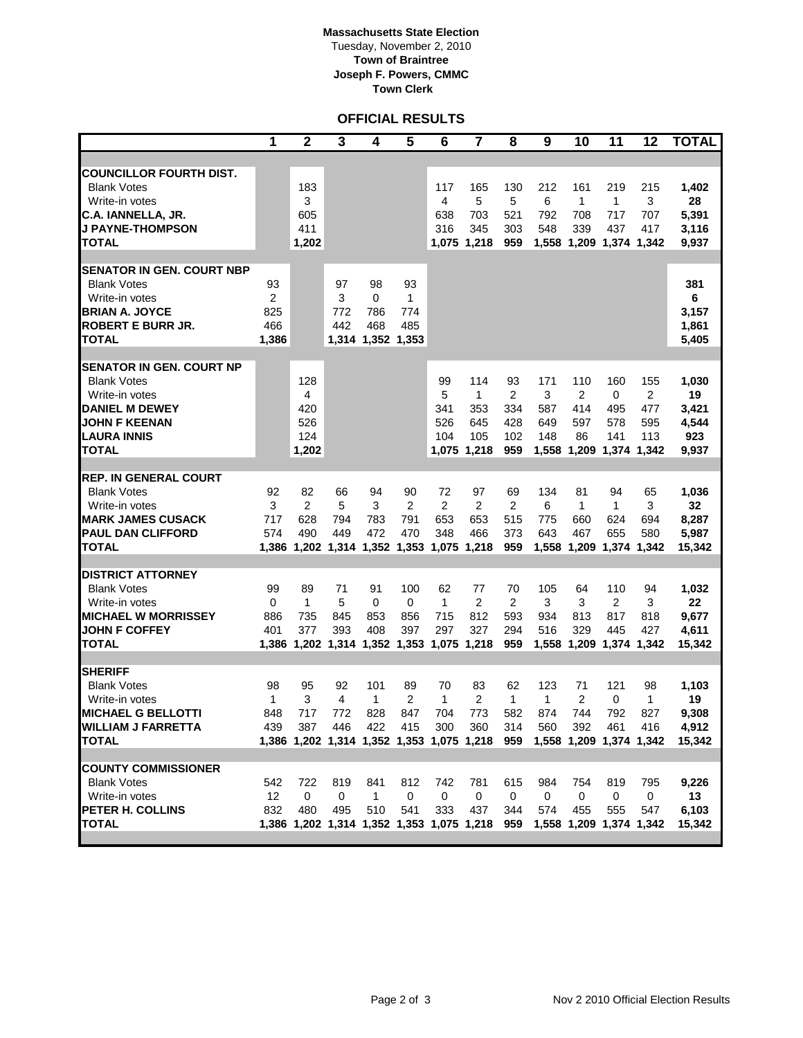### **Massachusetts State Election** Tuesday, November 2, 2010 **Town of Braintree Joseph F. Powers, CMMC Town Clerk**

# **OFFICIAL RESULTS**

|                                                                                                                                                                | 1                                           | $\overline{2}$                                                      | $\overline{\mathbf{3}}$ | 4                                          | $\overline{5}$         | 6                                           | $\overline{\mathbf{7}}$                                                             | 8                                                | 9                                                 | 10                                        | 11                                                     | 12                            | <b>TOTAL</b>                                  |
|----------------------------------------------------------------------------------------------------------------------------------------------------------------|---------------------------------------------|---------------------------------------------------------------------|-------------------------|--------------------------------------------|------------------------|---------------------------------------------|-------------------------------------------------------------------------------------|--------------------------------------------------|---------------------------------------------------|-------------------------------------------|--------------------------------------------------------|-------------------------------|-----------------------------------------------|
|                                                                                                                                                                |                                             |                                                                     |                         |                                            |                        |                                             |                                                                                     |                                                  |                                                   |                                           |                                                        |                               |                                               |
| <b>COUNCILLOR FOURTH DIST.</b><br><b>Blank Votes</b><br>Write-in votes<br>C.A. IANNELLA, JR.<br><b>J PAYNE-THOMPSON</b><br><b>TOTAL</b>                        |                                             | 183<br>3<br>605<br>411<br>1,202                                     |                         |                                            |                        | 117<br>4<br>638<br>316<br>1.075             | 165<br>5<br>703<br>345<br>1,218                                                     | 130<br>5<br>521<br>303<br>959                    | 212<br>6<br>792<br>548<br>1,558                   | 161<br>1<br>708<br>339<br>1,209           | 219<br>1<br>717<br>437<br>1,374 1,342                  | 215<br>3<br>707<br>417        | 1,402<br>28<br>5,391<br>3,116<br>9,937        |
| <b>SENATOR IN GEN. COURT NBP</b><br><b>Blank Votes</b><br>Write-in votes<br><b>BRIAN A. JOYCE</b><br><b>ROBERT E BURR JR.</b><br><b>TOTAL</b>                  | 93<br>$\overline{2}$<br>825<br>466<br>1,386 |                                                                     | 97<br>3<br>772<br>442   | 98<br>0<br>786<br>468<br>1,314 1,352 1,353 | 93<br>1<br>774<br>485  |                                             |                                                                                     |                                                  |                                                   |                                           |                                                        |                               | 381<br>6<br>3,157<br>1,861<br>5,405           |
| <b>SENATOR IN GEN. COURT NP</b><br><b>Blank Votes</b><br>Write-in votes<br><b>DANIEL M DEWEY</b><br><b>JOHN F KEENAN</b><br><b>LAURA INNIS</b><br><b>TOTAL</b> |                                             | 128<br>4<br>420<br>526<br>124<br>1,202                              |                         |                                            |                        | 99<br>5<br>341<br>526<br>104<br>1,075       | 114<br>$\mathbf{1}$<br>353<br>645<br>105<br>1,218                                   | 93<br>$\overline{2}$<br>334<br>428<br>102<br>959 | 171<br>3<br>587<br>649<br>148<br>1,558            | 110<br>2<br>414<br>597<br>86<br>1,209     | 160<br>$\mathbf 0$<br>495<br>578<br>141<br>1,374 1,342 | 155<br>2<br>477<br>595<br>113 | 1,030<br>19<br>3,421<br>4,544<br>923<br>9,937 |
| <b>REP. IN GENERAL COURT</b><br><b>Blank Votes</b><br>Write-in votes<br><b>MARK JAMES CUSACK</b><br><b>PAUL DAN CLIFFORD</b><br><b>TOTAL</b>                   | 92<br>3<br>717<br>574                       | 82<br>$\overline{2}$<br>628<br>490<br>1,386 1,202 1,314 1,352 1,353 | 66<br>5<br>794<br>449   | 94<br>3<br>783<br>472                      | 90<br>2<br>791<br>470  | 72<br>$\overline{2}$<br>653<br>348<br>1,075 | 97<br>$\overline{c}$<br>653<br>466<br>1,218                                         | 69<br>$\overline{2}$<br>515<br>373<br>959        | 134<br>6<br>775<br>643<br>1,558                   | 81<br>$\mathbf{1}$<br>660<br>467<br>1,209 | 94<br>$\mathbf{1}$<br>624<br>655<br>1,374 1,342        | 65<br>3<br>694<br>580         | 1,036<br>32<br>8,287<br>5,987<br>15,342       |
| <b>DISTRICT ATTORNEY</b><br><b>Blank Votes</b><br>Write-in votes<br><b>MICHAEL W MORRISSEY</b><br><b>JOHN F COFFEY</b><br><b>TOTAL</b>                         | 99<br>0<br>886<br>401                       | 89<br>1<br>735<br>377<br>1,386 1,202 1,314 1,352 1,353 1,075        | 71<br>5<br>845<br>393   | 91<br>0<br>853<br>408                      | 100<br>0<br>856<br>397 | 62<br>1<br>715<br>297                       | 77<br>$\overline{2}$<br>812<br>327<br>1,218                                         | 70<br>2<br>593<br>294<br>959                     | 105<br>3<br>934<br>516<br>1,558                   | 64<br>3<br>813<br>329<br>1,209            | 110<br>2<br>817<br>445<br>1,374 1,342                  | 94<br>3<br>818<br>427         | 1,032<br>22<br>9,677<br>4,611<br>15,342       |
| <b>SHERIFF</b><br><b>Blank Votes</b><br>Write-in votes<br><b>MICHAEL G BELLOTTI</b><br><b>WILLIAM J FARRETTA</b><br><b>TOTAL</b>                               | 98<br>1<br>848<br>439                       | 95<br>3<br>717<br>387                                               | 92<br>4<br>772<br>446   | 101<br>1<br>828<br>422                     | 89<br>2<br>847<br>415  | 70<br>1<br>704<br>300                       | 83<br>$\overline{2}$<br>773<br>360<br>1,386 1,202 1,314 1,352 1,353 1,075 1,218 959 | 62<br>1<br>582<br>314                            | 123<br>1<br>874<br>560<br>1,558 1,209 1,374 1,342 | 71<br>$\overline{2}$<br>744<br>392        | 121<br>0<br>792<br>461                                 | 98<br>1<br>827<br>416         | 1,103<br>19<br>9,308<br>4,912<br>15,342       |
| <b>COUNTY COMMISSIONER</b><br><b>Blank Votes</b><br>Write-in votes<br>PETER H. COLLINS<br><b>TOTAL</b>                                                         | 542<br>12<br>832                            | 722<br>$\mathbf 0$<br>480                                           | 819<br>0<br>495         | 841<br>$\mathbf{1}$<br>510                 | 812<br>0<br>541        | 742<br>$\mathbf 0$<br>333                   | 781<br>0<br>437<br>1,386 1,202 1,314 1,352 1,353 1,075 1,218 959                    | 615<br>0<br>344                                  | 984<br>0<br>574                                   | 754<br>0<br>455                           | 819<br>0<br>555<br>1,558 1,209 1,374 1,342             | 795<br>0<br>547               | 9,226<br>13<br>6,103<br>15,342                |